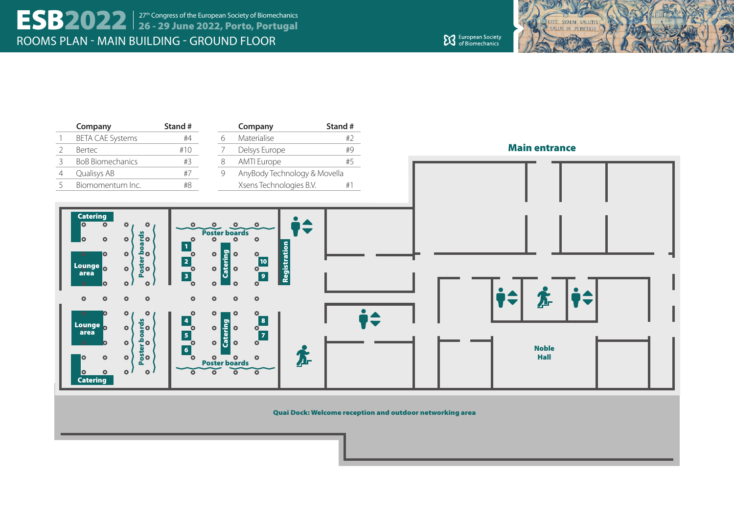

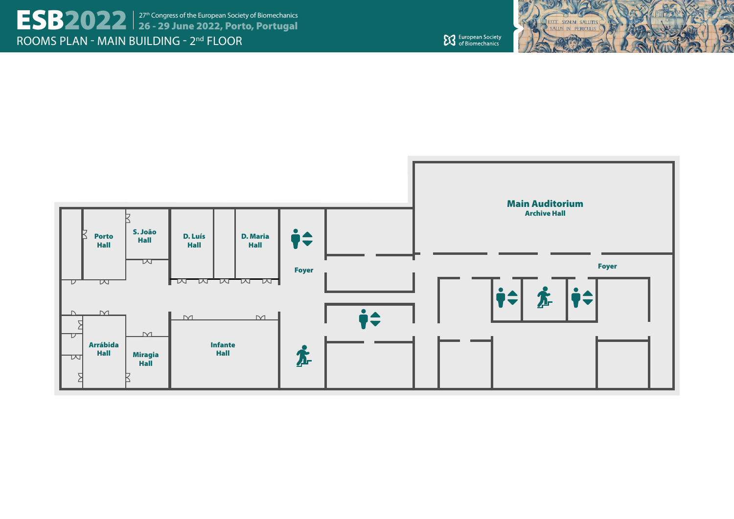